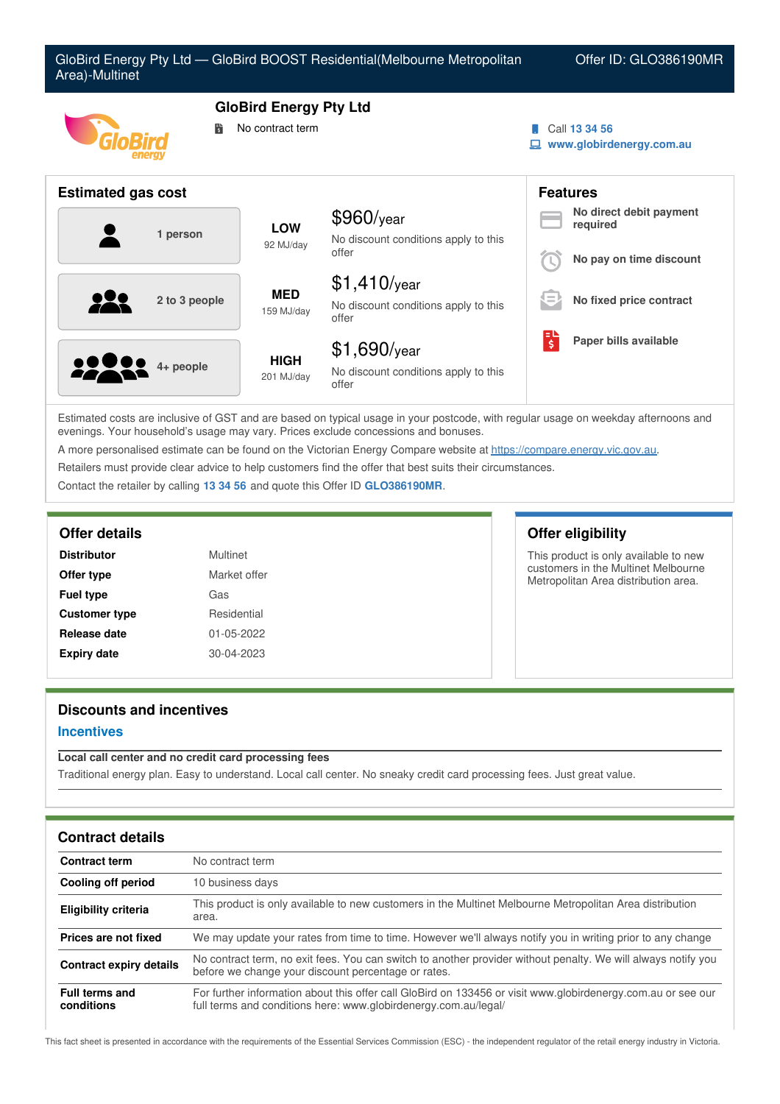| Area)-Multinet            |                                                        | GloBird Energy Pty Ltd - GloBird BOOST Residential(Melbourne Metropolitan |                               | Offer ID: GLO386190MR                                          |
|---------------------------|--------------------------------------------------------|---------------------------------------------------------------------------|-------------------------------|----------------------------------------------------------------|
|                           | <b>GloBird Energy Pty Ltd</b><br>No contract term<br>鬜 |                                                                           |                               | Call 13 34 56<br>www.globirdenergy.com.au                      |
| <b>Estimated gas cost</b> |                                                        |                                                                           |                               | <b>Features</b>                                                |
| 1 person                  | <b>LOW</b><br>92 MJ/day                                | \$960/year<br>No discount conditions apply to this<br>offer               |                               | No direct debit payment<br>required<br>No pay on time discount |
| 2 to 3 people             | <b>MED</b><br>159 MJ/day                               | $$1,410$ /year<br>No discount conditions apply to this<br>offer           |                               | No fixed price contract                                        |
| 4+ people                 | <b>HIGH</b><br>201 MJ/day                              | $$1,690$ /year<br>No discount conditions apply to this<br>offer           | $\overline{\boldsymbol{\xi}}$ | Paper bills available                                          |

Estimated costs are inclusive of GST and are based on typical usage in your postcode, with regular usage on weekday afternoons and evenings. Your household's usage may vary. Prices exclude concessions and bonuses.

A more personalised estimate can be found on the Victorian Energy Compare website at <https://compare.energy.vic.gov.au>.

Retailers must provide clear advice to help customers find the offer that best suits their circumstances.

Contact the retailer by calling **13 34 56** and quote this Offer ID **GLO386190MR**.

| <b>Distributor</b>   | Multinet     |
|----------------------|--------------|
| Offer type           | Market offer |
| <b>Fuel type</b>     | Gas          |
| <b>Customer type</b> | Residential  |
| Release date         | 01-05-2022   |
| <b>Expiry date</b>   | 30-04-2023   |

## **Offer details Offer eligibility**

This product is only available to new customers in the Multinet Melbourne Metropolitan Area distribution area.

## **Discounts and incentives**

### **Incentives**

## **Local call center and no credit card processing fees**

Traditional energy plan. Easy to understand. Local call center. No sneaky credit card processing fees. Just great value.

| <b>Contract details</b>             |                                                                                                                                                                                 |
|-------------------------------------|---------------------------------------------------------------------------------------------------------------------------------------------------------------------------------|
| <b>Contract term</b>                | No contract term                                                                                                                                                                |
| Cooling off period                  | 10 business days                                                                                                                                                                |
| Eligibility criteria                | This product is only available to new customers in the Multinet Melbourne Metropolitan Area distribution<br>area.                                                               |
| Prices are not fixed                | We may update your rates from time to time. However we'll always notify you in writing prior to any change                                                                      |
| <b>Contract expiry details</b>      | No contract term, no exit fees. You can switch to another provider without penalty. We will always notify you<br>before we change your discount percentage or rates.            |
| <b>Full terms and</b><br>conditions | For further information about this offer call GloBird on 133456 or visit www.globirdenergy.com.au or see our<br>full terms and conditions here: www.globirdenergy.com.au/legal/ |

This fact sheet is presented in accordance with the requirements of the Essential Services Commission (ESC) - the independent regulator of the retail energy industry in Victoria.